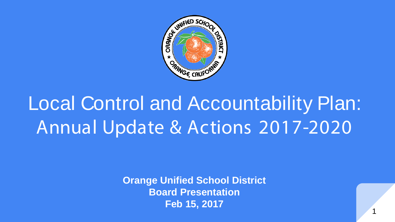

## Local Control and Accountability Plan: Annual Update & Actions 2017-2020

**Orange Unified School District Board Presentation Feb 15, 2017**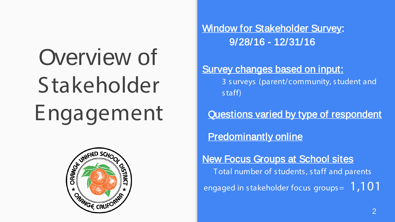# Overview of Stakeholder Engagement



Window for Stakeholder Survey: 9/28/16 - 12/31/16

Survey changes based on input: 3 s urveys (parent/community, s tudent and s taff)

Questions varied by type of respondent

Predominantly online

**New Focus Groups at School sites** Total number of s tudents , s taff and parents engaged in stakeholder focus groups =  $1,101$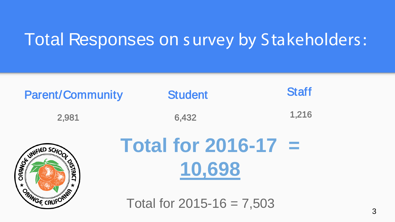### Total Responses on s urvey by Stakeholders :

| <b>Parent/Community</b> | <b>Student</b> | Staff |
|-------------------------|----------------|-------|
| 2,981                   | 6,432          | 1,216 |



# **Total for 2016-17 = 10,698**

Total for  $2015 - 16 = 7,503$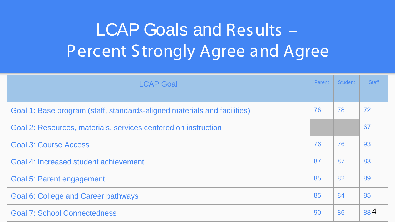## LCAP Goals and Res ults – Percent Strongly Agree and Agree

| <b>LCAP Goal</b>                                                         |    | <b>Student</b> | <b>Staff</b>    |
|--------------------------------------------------------------------------|----|----------------|-----------------|
|                                                                          |    |                |                 |
| Goal 1: Base program (staff, standards-aligned materials and facilities) | 76 | 78             | 72              |
| Goal 2: Resources, materials, services centered on instruction           |    |                | 67              |
| <b>Goal 3: Course Access</b>                                             | 76 | 76             | 93              |
| Goal 4: Increased student achievement                                    |    | 87             | 83              |
| Goal 5: Parent engagement                                                | 85 | 82             | 89              |
| <b>Goal 6: College and Career pathways</b>                               | 85 | 84             | 85              |
| <b>Goal 7: School Connectedness</b>                                      | 90 | 86             | 88 <sup>4</sup> |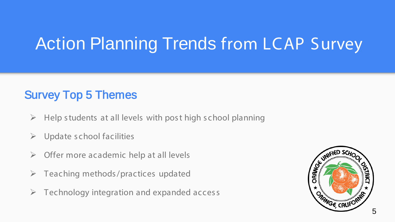## Action Planning Trends from LCAP Survey

#### Survey Top 5 Themes

- $\triangleright$  Help students at all levels with post high school planning
- Update s chool facilities
- $\triangleright$  Offer more academic help at all levels
- $\triangleright$  Teaching methods/practices updated
- $\triangleright$  Technology integration and expanded access

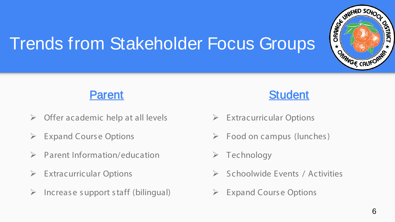# Trends from Stakeholder Focus Groups

#### Parent

- $\triangleright$  Offer academic help at all levels
- Expand Cours e Options
- Parent Information/education
- $\triangleright$  Extracurricular Options
- $\triangleright$  Increase support staff (bilingual)

#### **Student**

- $\triangleright$  Extracurricular Options
- $\triangleright$  Food on campus (lunches)
- $\triangleright$  Technology
- Schoolwide Events / Activities
- Expand Cours e Options